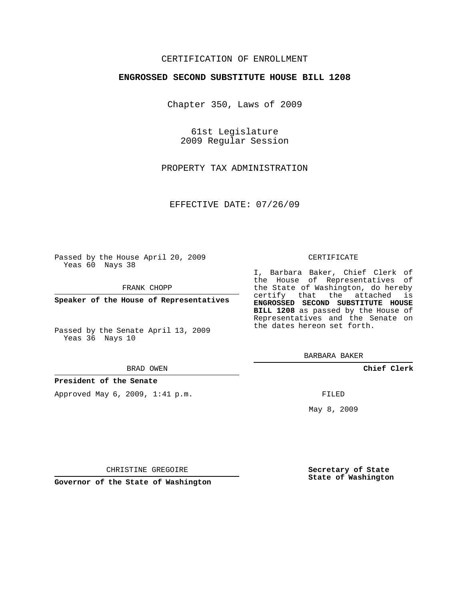## CERTIFICATION OF ENROLLMENT

### **ENGROSSED SECOND SUBSTITUTE HOUSE BILL 1208**

Chapter 350, Laws of 2009

61st Legislature 2009 Regular Session

PROPERTY TAX ADMINISTRATION

EFFECTIVE DATE: 07/26/09

Passed by the House April 20, 2009 Yeas 60 Nays 38

FRANK CHOPP

**Speaker of the House of Representatives**

Passed by the Senate April 13, 2009 Yeas 36 Nays 10

#### BRAD OWEN

#### **President of the Senate**

Approved May 6, 2009, 1:41 p.m.

#### CERTIFICATE

I, Barbara Baker, Chief Clerk of the House of Representatives of the State of Washington, do hereby certify that the attached is **ENGROSSED SECOND SUBSTITUTE HOUSE BILL 1208** as passed by the House of Representatives and the Senate on the dates hereon set forth.

BARBARA BAKER

**Chief Clerk**

FILED

May 8, 2009

**Secretary of State State of Washington**

CHRISTINE GREGOIRE

**Governor of the State of Washington**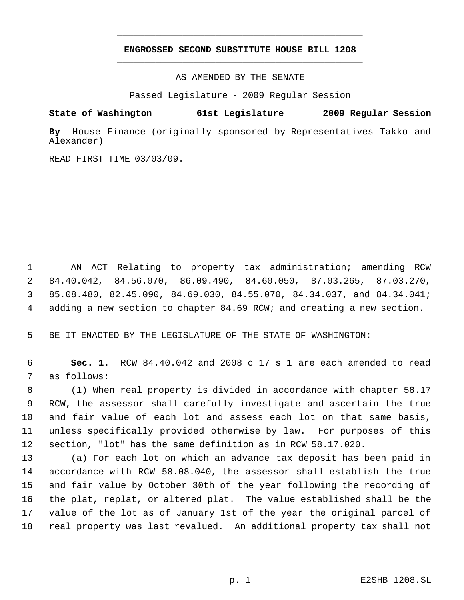# **ENGROSSED SECOND SUBSTITUTE HOUSE BILL 1208** \_\_\_\_\_\_\_\_\_\_\_\_\_\_\_\_\_\_\_\_\_\_\_\_\_\_\_\_\_\_\_\_\_\_\_\_\_\_\_\_\_\_\_\_\_

\_\_\_\_\_\_\_\_\_\_\_\_\_\_\_\_\_\_\_\_\_\_\_\_\_\_\_\_\_\_\_\_\_\_\_\_\_\_\_\_\_\_\_\_\_

AS AMENDED BY THE SENATE

Passed Legislature - 2009 Regular Session

**State of Washington 61st Legislature 2009 Regular Session**

**By** House Finance (originally sponsored by Representatives Takko and Alexander)

READ FIRST TIME 03/03/09.

 AN ACT Relating to property tax administration; amending RCW 84.40.042, 84.56.070, 86.09.490, 84.60.050, 87.03.265, 87.03.270, 85.08.480, 82.45.090, 84.69.030, 84.55.070, 84.34.037, and 84.34.041; adding a new section to chapter 84.69 RCW; and creating a new section.

BE IT ENACTED BY THE LEGISLATURE OF THE STATE OF WASHINGTON:

 **Sec. 1.** RCW 84.40.042 and 2008 c 17 s 1 are each amended to read as follows:

 (1) When real property is divided in accordance with chapter 58.17 RCW, the assessor shall carefully investigate and ascertain the true and fair value of each lot and assess each lot on that same basis, unless specifically provided otherwise by law. For purposes of this section, "lot" has the same definition as in RCW 58.17.020.

 (a) For each lot on which an advance tax deposit has been paid in accordance with RCW 58.08.040, the assessor shall establish the true and fair value by October 30th of the year following the recording of the plat, replat, or altered plat. The value established shall be the value of the lot as of January 1st of the year the original parcel of real property was last revalued. An additional property tax shall not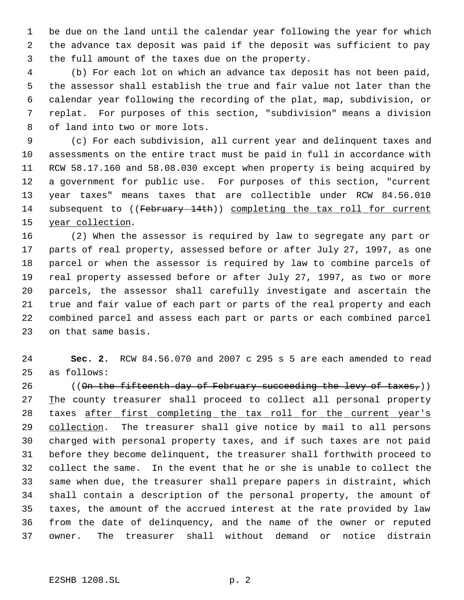be due on the land until the calendar year following the year for which the advance tax deposit was paid if the deposit was sufficient to pay the full amount of the taxes due on the property.

 (b) For each lot on which an advance tax deposit has not been paid, the assessor shall establish the true and fair value not later than the calendar year following the recording of the plat, map, subdivision, or replat. For purposes of this section, "subdivision" means a division of land into two or more lots.

 (c) For each subdivision, all current year and delinquent taxes and assessments on the entire tract must be paid in full in accordance with RCW 58.17.160 and 58.08.030 except when property is being acquired by a government for public use. For purposes of this section, "current year taxes" means taxes that are collectible under RCW 84.56.010 14 subsequent to ((February-14th)) completing the tax roll for current 15 year collection.

 (2) When the assessor is required by law to segregate any part or parts of real property, assessed before or after July 27, 1997, as one parcel or when the assessor is required by law to combine parcels of real property assessed before or after July 27, 1997, as two or more parcels, the assessor shall carefully investigate and ascertain the true and fair value of each part or parts of the real property and each combined parcel and assess each part or parts or each combined parcel on that same basis.

 **Sec. 2.** RCW 84.56.070 and 2007 c 295 s 5 are each amended to read as follows:

26 ((On the fifteenth day of February succeeding the levy of taxes,)) 27 The county treasurer shall proceed to collect all personal property 28 taxes after first completing the tax roll for the current year's 29 collection. The treasurer shall give notice by mail to all persons charged with personal property taxes, and if such taxes are not paid before they become delinquent, the treasurer shall forthwith proceed to collect the same. In the event that he or she is unable to collect the same when due, the treasurer shall prepare papers in distraint, which shall contain a description of the personal property, the amount of taxes, the amount of the accrued interest at the rate provided by law from the date of delinquency, and the name of the owner or reputed owner. The treasurer shall without demand or notice distrain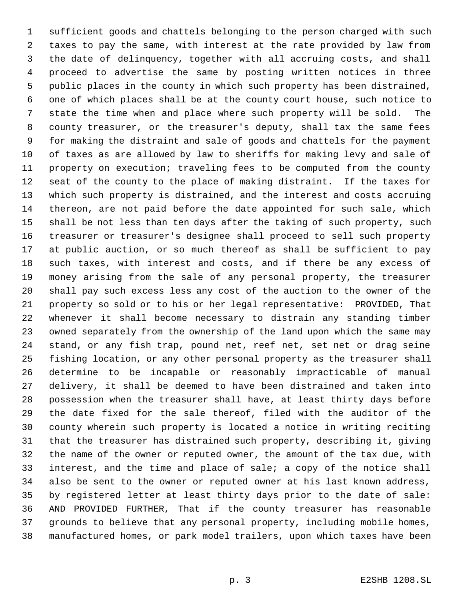sufficient goods and chattels belonging to the person charged with such taxes to pay the same, with interest at the rate provided by law from the date of delinquency, together with all accruing costs, and shall proceed to advertise the same by posting written notices in three public places in the county in which such property has been distrained, one of which places shall be at the county court house, such notice to state the time when and place where such property will be sold. The county treasurer, or the treasurer's deputy, shall tax the same fees for making the distraint and sale of goods and chattels for the payment of taxes as are allowed by law to sheriffs for making levy and sale of property on execution; traveling fees to be computed from the county seat of the county to the place of making distraint. If the taxes for which such property is distrained, and the interest and costs accruing thereon, are not paid before the date appointed for such sale, which shall be not less than ten days after the taking of such property, such treasurer or treasurer's designee shall proceed to sell such property at public auction, or so much thereof as shall be sufficient to pay such taxes, with interest and costs, and if there be any excess of money arising from the sale of any personal property, the treasurer shall pay such excess less any cost of the auction to the owner of the property so sold or to his or her legal representative: PROVIDED, That whenever it shall become necessary to distrain any standing timber owned separately from the ownership of the land upon which the same may stand, or any fish trap, pound net, reef net, set net or drag seine fishing location, or any other personal property as the treasurer shall determine to be incapable or reasonably impracticable of manual delivery, it shall be deemed to have been distrained and taken into possession when the treasurer shall have, at least thirty days before the date fixed for the sale thereof, filed with the auditor of the county wherein such property is located a notice in writing reciting that the treasurer has distrained such property, describing it, giving the name of the owner or reputed owner, the amount of the tax due, with interest, and the time and place of sale; a copy of the notice shall also be sent to the owner or reputed owner at his last known address, by registered letter at least thirty days prior to the date of sale: AND PROVIDED FURTHER, That if the county treasurer has reasonable grounds to believe that any personal property, including mobile homes, manufactured homes, or park model trailers, upon which taxes have been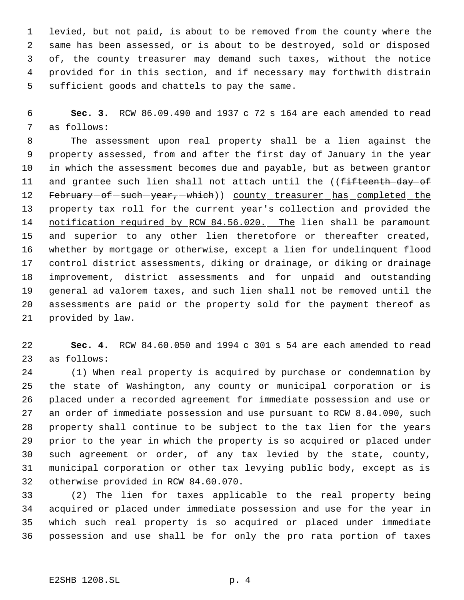levied, but not paid, is about to be removed from the county where the same has been assessed, or is about to be destroyed, sold or disposed of, the county treasurer may demand such taxes, without the notice provided for in this section, and if necessary may forthwith distrain sufficient goods and chattels to pay the same.

 **Sec. 3.** RCW 86.09.490 and 1937 c 72 s 164 are each amended to read as follows:

 The assessment upon real property shall be a lien against the property assessed, from and after the first day of January in the year in which the assessment becomes due and payable, but as between grantor 11 and grantee such lien shall not attach until the ((fifteenth day of 12 February-of-such-year,-which)) county treasurer has completed the property tax roll for the current year's collection and provided the 14 notification required by RCW 84.56.020. The lien shall be paramount and superior to any other lien theretofore or thereafter created, whether by mortgage or otherwise, except a lien for undelinquent flood control district assessments, diking or drainage, or diking or drainage improvement, district assessments and for unpaid and outstanding general ad valorem taxes, and such lien shall not be removed until the assessments are paid or the property sold for the payment thereof as provided by law.

 **Sec. 4.** RCW 84.60.050 and 1994 c 301 s 54 are each amended to read as follows:

 (1) When real property is acquired by purchase or condemnation by the state of Washington, any county or municipal corporation or is placed under a recorded agreement for immediate possession and use or an order of immediate possession and use pursuant to RCW 8.04.090, such property shall continue to be subject to the tax lien for the years prior to the year in which the property is so acquired or placed under such agreement or order, of any tax levied by the state, county, municipal corporation or other tax levying public body, except as is otherwise provided in RCW 84.60.070.

 (2) The lien for taxes applicable to the real property being acquired or placed under immediate possession and use for the year in which such real property is so acquired or placed under immediate possession and use shall be for only the pro rata portion of taxes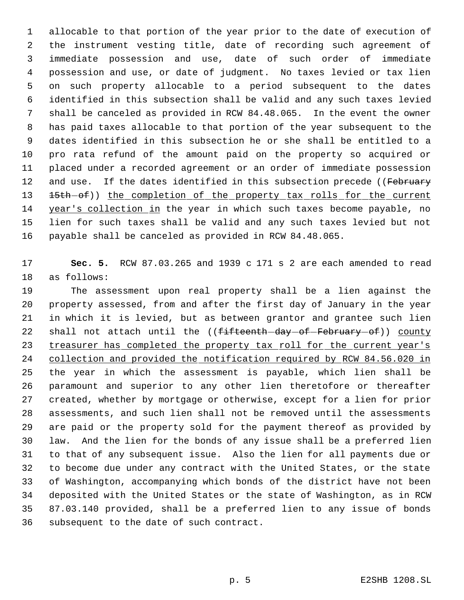allocable to that portion of the year prior to the date of execution of the instrument vesting title, date of recording such agreement of immediate possession and use, date of such order of immediate possession and use, or date of judgment. No taxes levied or tax lien on such property allocable to a period subsequent to the dates identified in this subsection shall be valid and any such taxes levied shall be canceled as provided in RCW 84.48.065. In the event the owner has paid taxes allocable to that portion of the year subsequent to the dates identified in this subsection he or she shall be entitled to a pro rata refund of the amount paid on the property so acquired or placed under a recorded agreement or an order of immediate possession 12 and use. If the dates identified in this subsection precede ((February 13 15th of)) the completion of the property tax rolls for the current year's collection in the year in which such taxes become payable, no lien for such taxes shall be valid and any such taxes levied but not payable shall be canceled as provided in RCW 84.48.065.

 **Sec. 5.** RCW 87.03.265 and 1939 c 171 s 2 are each amended to read as follows:

 The assessment upon real property shall be a lien against the property assessed, from and after the first day of January in the year in which it is levied, but as between grantor and grantee such lien 22 shall not attach until the ((fifteenth-day-of-February-of)) county 23 treasurer has completed the property tax roll for the current year's collection and provided the notification required by RCW 84.56.020 in the year in which the assessment is payable, which lien shall be paramount and superior to any other lien theretofore or thereafter created, whether by mortgage or otherwise, except for a lien for prior assessments, and such lien shall not be removed until the assessments are paid or the property sold for the payment thereof as provided by law. And the lien for the bonds of any issue shall be a preferred lien to that of any subsequent issue. Also the lien for all payments due or to become due under any contract with the United States, or the state of Washington, accompanying which bonds of the district have not been deposited with the United States or the state of Washington, as in RCW 87.03.140 provided, shall be a preferred lien to any issue of bonds subsequent to the date of such contract.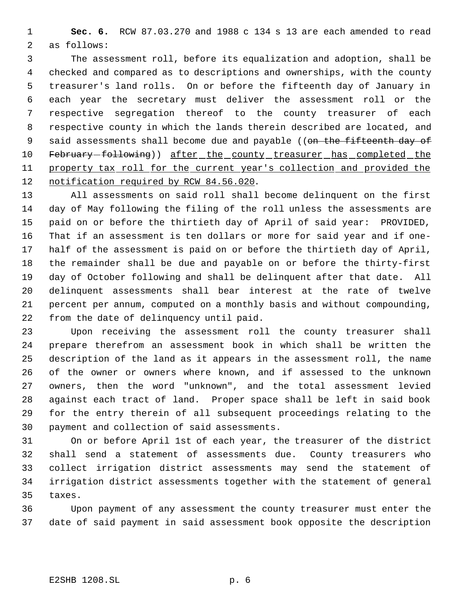**Sec. 6.** RCW 87.03.270 and 1988 c 134 s 13 are each amended to read as follows:

 The assessment roll, before its equalization and adoption, shall be checked and compared as to descriptions and ownerships, with the county treasurer's land rolls. On or before the fifteenth day of January in each year the secretary must deliver the assessment roll or the respective segregation thereof to the county treasurer of each respective county in which the lands therein described are located, and 9 said assessments shall become due and payable ((on the fifteenth day of 10 February-following)) after\_the\_county\_treasurer\_has\_completed\_the 11 property tax roll for the current year's collection and provided the 12 notification required by RCW 84.56.020.

 All assessments on said roll shall become delinquent on the first day of May following the filing of the roll unless the assessments are paid on or before the thirtieth day of April of said year: PROVIDED, That if an assessment is ten dollars or more for said year and if one- half of the assessment is paid on or before the thirtieth day of April, the remainder shall be due and payable on or before the thirty-first day of October following and shall be delinquent after that date. All delinquent assessments shall bear interest at the rate of twelve percent per annum, computed on a monthly basis and without compounding, from the date of delinquency until paid.

 Upon receiving the assessment roll the county treasurer shall prepare therefrom an assessment book in which shall be written the description of the land as it appears in the assessment roll, the name of the owner or owners where known, and if assessed to the unknown owners, then the word "unknown", and the total assessment levied against each tract of land. Proper space shall be left in said book for the entry therein of all subsequent proceedings relating to the payment and collection of said assessments.

 On or before April 1st of each year, the treasurer of the district shall send a statement of assessments due. County treasurers who collect irrigation district assessments may send the statement of irrigation district assessments together with the statement of general taxes.

 Upon payment of any assessment the county treasurer must enter the date of said payment in said assessment book opposite the description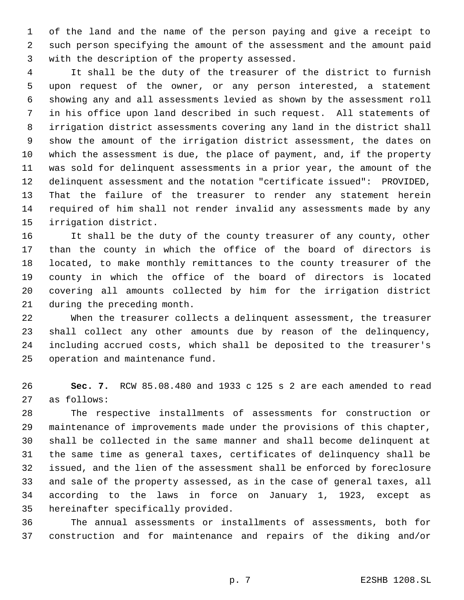of the land and the name of the person paying and give a receipt to such person specifying the amount of the assessment and the amount paid with the description of the property assessed.

 It shall be the duty of the treasurer of the district to furnish upon request of the owner, or any person interested, a statement showing any and all assessments levied as shown by the assessment roll in his office upon land described in such request. All statements of irrigation district assessments covering any land in the district shall show the amount of the irrigation district assessment, the dates on which the assessment is due, the place of payment, and, if the property was sold for delinquent assessments in a prior year, the amount of the delinquent assessment and the notation "certificate issued": PROVIDED, That the failure of the treasurer to render any statement herein required of him shall not render invalid any assessments made by any irrigation district.

 It shall be the duty of the county treasurer of any county, other than the county in which the office of the board of directors is located, to make monthly remittances to the county treasurer of the county in which the office of the board of directors is located covering all amounts collected by him for the irrigation district during the preceding month.

 When the treasurer collects a delinquent assessment, the treasurer shall collect any other amounts due by reason of the delinquency, including accrued costs, which shall be deposited to the treasurer's operation and maintenance fund.

 **Sec. 7.** RCW 85.08.480 and 1933 c 125 s 2 are each amended to read as follows:

 The respective installments of assessments for construction or maintenance of improvements made under the provisions of this chapter, shall be collected in the same manner and shall become delinquent at the same time as general taxes, certificates of delinquency shall be issued, and the lien of the assessment shall be enforced by foreclosure and sale of the property assessed, as in the case of general taxes, all according to the laws in force on January 1, 1923, except as hereinafter specifically provided.

 The annual assessments or installments of assessments, both for construction and for maintenance and repairs of the diking and/or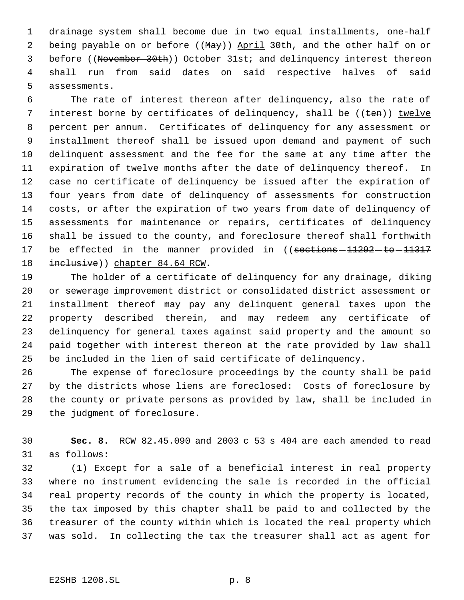drainage system shall become due in two equal installments, one-half 2 being payable on or before ((May)) April 30th, and the other half on or 3 before ((November 30th)) October 31st; and delinquency interest thereon shall run from said dates on said respective halves of said assessments.

 The rate of interest thereon after delinquency, also the rate of 7 interest borne by certificates of delinquency, shall be  $((\text{ten}))$  twelve percent per annum. Certificates of delinquency for any assessment or installment thereof shall be issued upon demand and payment of such delinquent assessment and the fee for the same at any time after the expiration of twelve months after the date of delinquency thereof. In case no certificate of delinquency be issued after the expiration of four years from date of delinquency of assessments for construction costs, or after the expiration of two years from date of delinquency of assessments for maintenance or repairs, certificates of delinquency shall be issued to the county, and foreclosure thereof shall forthwith 17 be effected in the manner provided in ((sections - 11292 - to - 11317 18 inclusive)) chapter 84.64 RCW.

 The holder of a certificate of delinquency for any drainage, diking or sewerage improvement district or consolidated district assessment or installment thereof may pay any delinquent general taxes upon the property described therein, and may redeem any certificate of delinquency for general taxes against said property and the amount so paid together with interest thereon at the rate provided by law shall be included in the lien of said certificate of delinquency.

 The expense of foreclosure proceedings by the county shall be paid by the districts whose liens are foreclosed: Costs of foreclosure by the county or private persons as provided by law, shall be included in the judgment of foreclosure.

 **Sec. 8.** RCW 82.45.090 and 2003 c 53 s 404 are each amended to read as follows:

 (1) Except for a sale of a beneficial interest in real property where no instrument evidencing the sale is recorded in the official real property records of the county in which the property is located, the tax imposed by this chapter shall be paid to and collected by the treasurer of the county within which is located the real property which was sold. In collecting the tax the treasurer shall act as agent for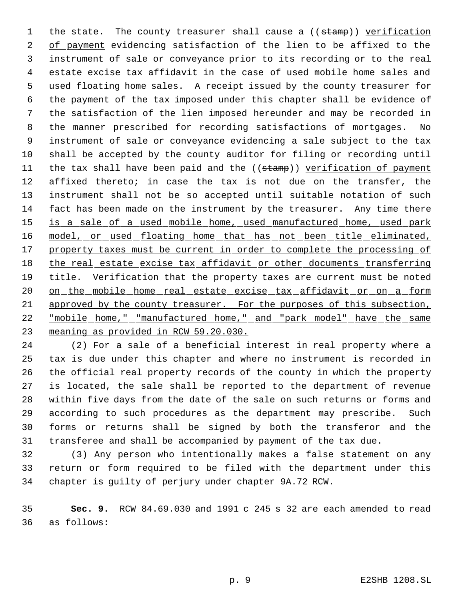1 the state. The county treasurer shall cause a ((stamp)) verification of payment evidencing satisfaction of the lien to be affixed to the instrument of sale or conveyance prior to its recording or to the real estate excise tax affidavit in the case of used mobile home sales and used floating home sales. A receipt issued by the county treasurer for the payment of the tax imposed under this chapter shall be evidence of the satisfaction of the lien imposed hereunder and may be recorded in the manner prescribed for recording satisfactions of mortgages. No instrument of sale or conveyance evidencing a sale subject to the tax shall be accepted by the county auditor for filing or recording until 11 the tax shall have been paid and the ((stamp)) verification of payment affixed thereto; in case the tax is not due on the transfer, the instrument shall not be so accepted until suitable notation of such fact has been made on the instrument by the treasurer. Any time there 15 is a sale of a used mobile home, used manufactured home, used park 16 model, or used floating home that has not been title eliminated, 17 property taxes must be current in order to complete the processing of 18 the real estate excise tax affidavit or other documents transferring 19 title. Verification that the property taxes are current must be noted 20 on the mobile home real estate excise tax affidavit or on a form 21 approved by the county treasurer. For the purposes of this subsection, "mobile home," "manufactured home," and "park model" have the same meaning as provided in RCW 59.20.030.

 (2) For a sale of a beneficial interest in real property where a tax is due under this chapter and where no instrument is recorded in the official real property records of the county in which the property is located, the sale shall be reported to the department of revenue within five days from the date of the sale on such returns or forms and according to such procedures as the department may prescribe. Such forms or returns shall be signed by both the transferor and the transferee and shall be accompanied by payment of the tax due.

 (3) Any person who intentionally makes a false statement on any return or form required to be filed with the department under this chapter is guilty of perjury under chapter 9A.72 RCW.

 **Sec. 9.** RCW 84.69.030 and 1991 c 245 s 32 are each amended to read as follows: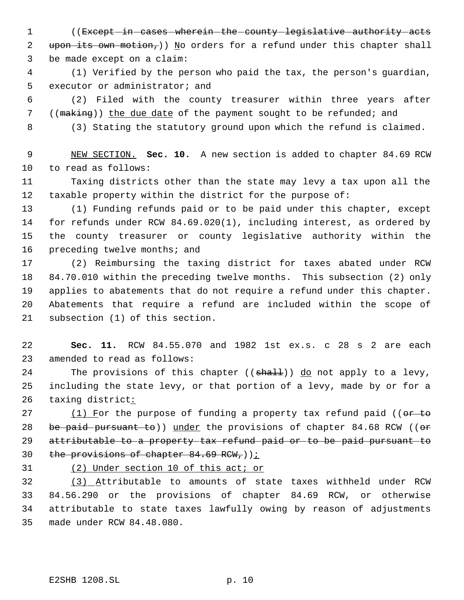1 ((Except in cases wherein the county legislative authority acts 2 upon its own motion,)) No orders for a refund under this chapter shall be made except on a claim:

 (1) Verified by the person who paid the tax, the person's guardian, executor or administrator; and

 (2) Filed with the county treasurer within three years after 7 ((making)) the due date of the payment sought to be refunded; and

(3) Stating the statutory ground upon which the refund is claimed.

 NEW SECTION. **Sec. 10.** A new section is added to chapter 84.69 RCW to read as follows:

 Taxing districts other than the state may levy a tax upon all the taxable property within the district for the purpose of:

 (1) Funding refunds paid or to be paid under this chapter, except for refunds under RCW 84.69.020(1), including interest, as ordered by the county treasurer or county legislative authority within the 16 preceding twelve months; and

 (2) Reimbursing the taxing district for taxes abated under RCW 84.70.010 within the preceding twelve months. This subsection (2) only applies to abatements that do not require a refund under this chapter. Abatements that require a refund are included within the scope of subsection (1) of this section.

 **Sec. 11.** RCW 84.55.070 and 1982 1st ex.s. c 28 s 2 are each amended to read as follows:

24 The provisions of this chapter ((shall)) do not apply to a levy, including the state levy, or that portion of a levy, made by or for a 26 taxing district:

27  $(1)$  For the purpose of funding a property tax refund paid (( $\sigma$ + to 28 be paid pursuant to)) under the provisions of chapter  $84.68$  RCW (( $\sigma$ re attributable to a property tax refund paid or to be paid pursuant to 30 the provisions of chapter  $84.69$  RCW,  $)$ ;

(2) Under section 10 of this act; or

 (3) Attributable to amounts of state taxes withheld under RCW 84.56.290 or the provisions of chapter 84.69 RCW, or otherwise attributable to state taxes lawfully owing by reason of adjustments made under RCW 84.48.080.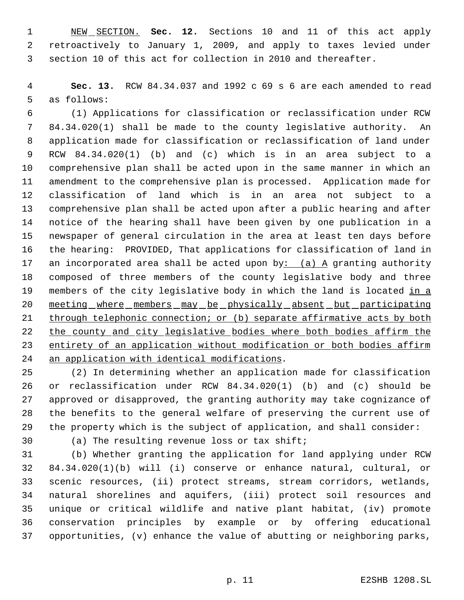NEW SECTION. **Sec. 12.** Sections 10 and 11 of this act apply retroactively to January 1, 2009, and apply to taxes levied under section 10 of this act for collection in 2010 and thereafter.

 **Sec. 13.** RCW 84.34.037 and 1992 c 69 s 6 are each amended to read as follows:

 (1) Applications for classification or reclassification under RCW 84.34.020(1) shall be made to the county legislative authority. An application made for classification or reclassification of land under RCW 84.34.020(1) (b) and (c) which is in an area subject to a comprehensive plan shall be acted upon in the same manner in which an amendment to the comprehensive plan is processed. Application made for classification of land which is in an area not subject to a comprehensive plan shall be acted upon after a public hearing and after notice of the hearing shall have been given by one publication in a newspaper of general circulation in the area at least ten days before the hearing: PROVIDED, That applications for classification of land in 17 an incorporated area shall be acted upon by:  $(a)$  A granting authority composed of three members of the county legislative body and three 19 members of the city legislative body in which the land is located in a 20 meeting where members may be physically absent but participating 21 through telephonic connection; or (b) separate affirmative acts by both 22 the county and city legislative bodies where both bodies affirm the 23 entirety of an application without modification or both bodies affirm an application with identical modifications.

 (2) In determining whether an application made for classification or reclassification under RCW 84.34.020(1) (b) and (c) should be approved or disapproved, the granting authority may take cognizance of the benefits to the general welfare of preserving the current use of the property which is the subject of application, and shall consider:

(a) The resulting revenue loss or tax shift;

 (b) Whether granting the application for land applying under RCW 84.34.020(1)(b) will (i) conserve or enhance natural, cultural, or scenic resources, (ii) protect streams, stream corridors, wetlands, natural shorelines and aquifers, (iii) protect soil resources and unique or critical wildlife and native plant habitat, (iv) promote conservation principles by example or by offering educational opportunities, (v) enhance the value of abutting or neighboring parks,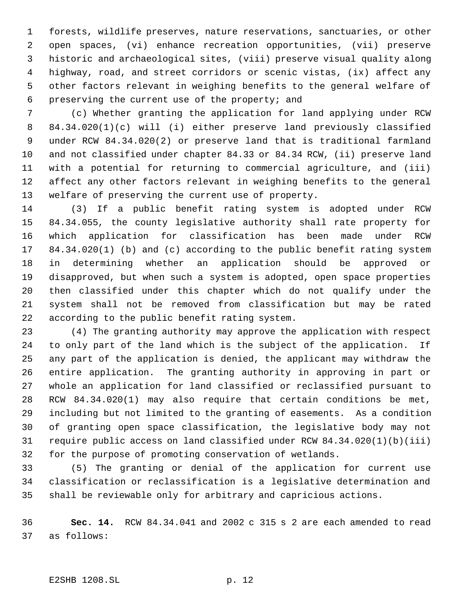forests, wildlife preserves, nature reservations, sanctuaries, or other open spaces, (vi) enhance recreation opportunities, (vii) preserve historic and archaeological sites, (viii) preserve visual quality along highway, road, and street corridors or scenic vistas, (ix) affect any other factors relevant in weighing benefits to the general welfare of preserving the current use of the property; and

 (c) Whether granting the application for land applying under RCW 84.34.020(1)(c) will (i) either preserve land previously classified under RCW 84.34.020(2) or preserve land that is traditional farmland and not classified under chapter 84.33 or 84.34 RCW, (ii) preserve land with a potential for returning to commercial agriculture, and (iii) affect any other factors relevant in weighing benefits to the general welfare of preserving the current use of property.

 (3) If a public benefit rating system is adopted under RCW 84.34.055, the county legislative authority shall rate property for which application for classification has been made under RCW 84.34.020(1) (b) and (c) according to the public benefit rating system in determining whether an application should be approved or disapproved, but when such a system is adopted, open space properties then classified under this chapter which do not qualify under the system shall not be removed from classification but may be rated according to the public benefit rating system.

 (4) The granting authority may approve the application with respect to only part of the land which is the subject of the application. If any part of the application is denied, the applicant may withdraw the entire application. The granting authority in approving in part or whole an application for land classified or reclassified pursuant to RCW 84.34.020(1) may also require that certain conditions be met, including but not limited to the granting of easements. As a condition of granting open space classification, the legislative body may not require public access on land classified under RCW 84.34.020(1)(b)(iii) for the purpose of promoting conservation of wetlands.

 (5) The granting or denial of the application for current use classification or reclassification is a legislative determination and shall be reviewable only for arbitrary and capricious actions.

 **Sec. 14.** RCW 84.34.041 and 2002 c 315 s 2 are each amended to read as follows: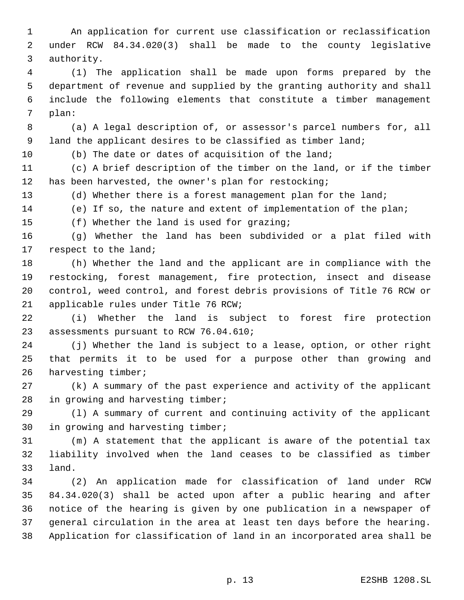An application for current use classification or reclassification under RCW 84.34.020(3) shall be made to the county legislative authority.

 (1) The application shall be made upon forms prepared by the department of revenue and supplied by the granting authority and shall include the following elements that constitute a timber management plan:

 (a) A legal description of, or assessor's parcel numbers for, all 9 land the applicant desires to be classified as timber land;

(b) The date or dates of acquisition of the land;

 (c) A brief description of the timber on the land, or if the timber has been harvested, the owner's plan for restocking;

13 (d) Whether there is a forest management plan for the land;

(e) If so, the nature and extent of implementation of the plan;

(f) Whether the land is used for grazing;

 (g) Whether the land has been subdivided or a plat filed with respect to the land;

 (h) Whether the land and the applicant are in compliance with the restocking, forest management, fire protection, insect and disease control, weed control, and forest debris provisions of Title 76 RCW or applicable rules under Title 76 RCW;

 (i) Whether the land is subject to forest fire protection assessments pursuant to RCW 76.04.610;

 (j) Whether the land is subject to a lease, option, or other right that permits it to be used for a purpose other than growing and harvesting timber;

 (k) A summary of the past experience and activity of the applicant in growing and harvesting timber;

 (l) A summary of current and continuing activity of the applicant in growing and harvesting timber;

 (m) A statement that the applicant is aware of the potential tax liability involved when the land ceases to be classified as timber land.

 (2) An application made for classification of land under RCW 84.34.020(3) shall be acted upon after a public hearing and after notice of the hearing is given by one publication in a newspaper of general circulation in the area at least ten days before the hearing. Application for classification of land in an incorporated area shall be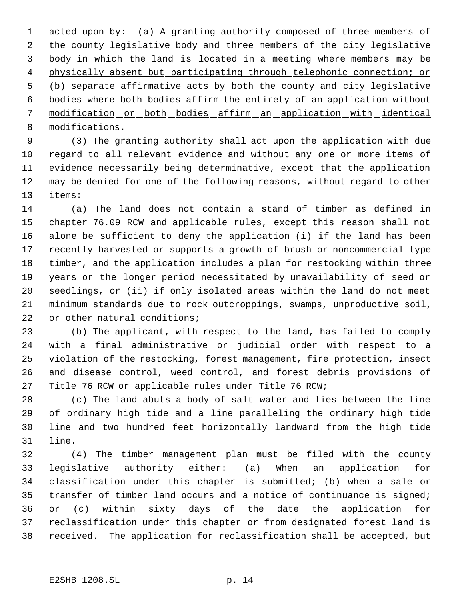1 acted upon by: (a) A granting authority composed of three members of the county legislative body and three members of the city legislative 3 body in which the land is located in a meeting where members may be 4 physically absent but participating through telephonic connection; or (b) separate affirmative acts by both the county and city legislative bodies where both bodies affirm the entirety of an application without modification or both bodies affirm an application with identical modifications.

 (3) The granting authority shall act upon the application with due regard to all relevant evidence and without any one or more items of evidence necessarily being determinative, except that the application may be denied for one of the following reasons, without regard to other items:

 (a) The land does not contain a stand of timber as defined in chapter 76.09 RCW and applicable rules, except this reason shall not alone be sufficient to deny the application (i) if the land has been recently harvested or supports a growth of brush or noncommercial type timber, and the application includes a plan for restocking within three years or the longer period necessitated by unavailability of seed or seedlings, or (ii) if only isolated areas within the land do not meet minimum standards due to rock outcroppings, swamps, unproductive soil, 22 or other natural conditions;

 (b) The applicant, with respect to the land, has failed to comply with a final administrative or judicial order with respect to a violation of the restocking, forest management, fire protection, insect and disease control, weed control, and forest debris provisions of Title 76 RCW or applicable rules under Title 76 RCW;

 (c) The land abuts a body of salt water and lies between the line of ordinary high tide and a line paralleling the ordinary high tide line and two hundred feet horizontally landward from the high tide line.

 (4) The timber management plan must be filed with the county legislative authority either: (a) When an application for classification under this chapter is submitted; (b) when a sale or transfer of timber land occurs and a notice of continuance is signed; or (c) within sixty days of the date the application for reclassification under this chapter or from designated forest land is received. The application for reclassification shall be accepted, but